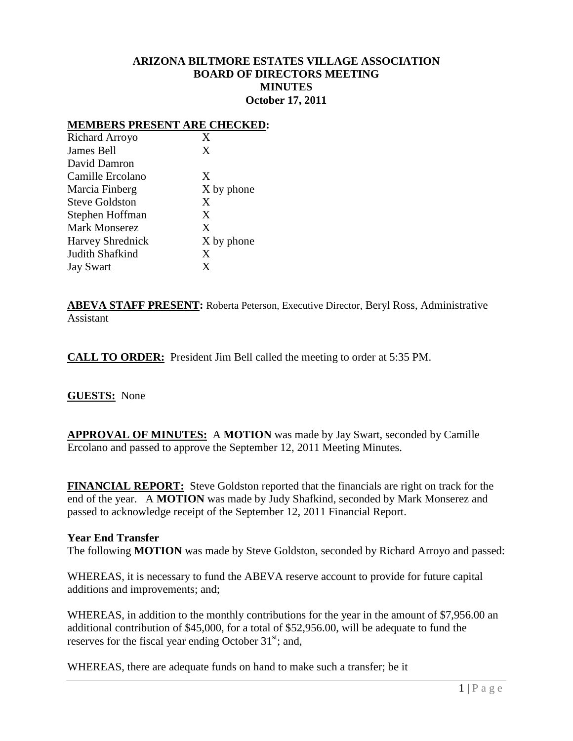# **ARIZONA BILTMORE ESTATES VILLAGE ASSOCIATION BOARD OF DIRECTORS MEETING MINUTES October 17, 2011**

#### **MEMBERS PRESENT ARE CHECKED:**

| Richard Arroyo          | X          |
|-------------------------|------------|
| James Bell              | X          |
| David Damron            |            |
| Camille Ercolano        | X          |
| Marcia Finberg          | X by phone |
| <b>Steve Goldston</b>   | X          |
| Stephen Hoffman         | X          |
| <b>Mark Monserez</b>    | X          |
| <b>Harvey Shrednick</b> | X by phone |
| Judith Shafkind         | X          |
| <b>Jay Swart</b>        | X          |

**ABEVA STAFF PRESENT:** Roberta Peterson, Executive Director, Beryl Ross, Administrative Assistant

**CALL TO ORDER:** President Jim Bell called the meeting to order at 5:35 PM.

#### **GUESTS:** None

**APPROVAL OF MINUTES:** A **MOTION** was made by Jay Swart, seconded by Camille Ercolano and passed to approve the September 12, 2011 Meeting Minutes.

**FINANCIAL REPORT:** Steve Goldston reported that the financials are right on track for the end of the year. A **MOTION** was made by Judy Shafkind, seconded by Mark Monserez and passed to acknowledge receipt of the September 12, 2011 Financial Report.

#### **Year End Transfer**

The following **MOTION** was made by Steve Goldston, seconded by Richard Arroyo and passed:

WHEREAS, it is necessary to fund the ABEVA reserve account to provide for future capital additions and improvements; and;

WHEREAS, in addition to the monthly contributions for the year in the amount of \$7,956.00 an additional contribution of \$45,000, for a total of \$52,956.00, will be adequate to fund the reserves for the fiscal year ending October  $31<sup>st</sup>$ ; and,

WHEREAS, there are adequate funds on hand to make such a transfer; be it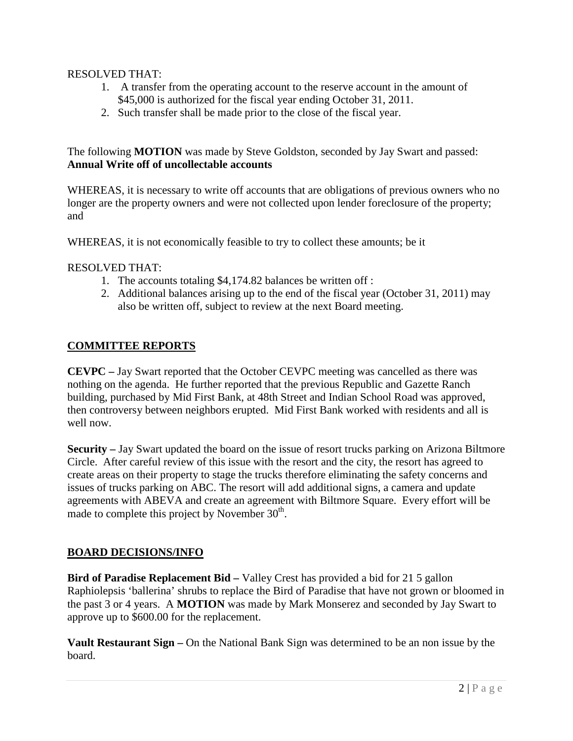# RESOLVED THAT:

- 1. A transfer from the operating account to the reserve account in the amount of \$45,000 is authorized for the fiscal year ending October 31, 2011.
- 2. Such transfer shall be made prior to the close of the fiscal year.

The following **MOTION** was made by Steve Goldston, seconded by Jay Swart and passed: **Annual Write off of uncollectable accounts**

WHEREAS, it is necessary to write off accounts that are obligations of previous owners who no longer are the property owners and were not collected upon lender foreclosure of the property; and

WHEREAS, it is not economically feasible to try to collect these amounts; be it

# RESOLVED THAT:

- 1. The accounts totaling \$4,174.82 balances be written off :
- 2. Additional balances arising up to the end of the fiscal year (October 31, 2011) may also be written off, subject to review at the next Board meeting.

# **COMMITTEE REPORTS**

**CEVPC –** Jay Swart reported that the October CEVPC meeting was cancelled as there was nothing on the agenda. He further reported that the previous Republic and Gazette Ranch building, purchased by Mid First Bank, at 48th Street and Indian School Road was approved, then controversy between neighbors erupted. Mid First Bank worked with residents and all is well now.

**Security –** Jay Swart updated the board on the issue of resort trucks parking on Arizona Biltmore Circle. After careful review of this issue with the resort and the city, the resort has agreed to create areas on their property to stage the trucks therefore eliminating the safety concerns and issues of trucks parking on ABC. The resort will add additional signs, a camera and update agreements with ABEVA and create an agreement with Biltmore Square. Every effort will be made to complete this project by November  $30<sup>th</sup>$ .

#### **BOARD DECISIONS/INFO**

**Bird of Paradise Replacement Bid –** Valley Crest has provided a bid for 21 5 gallon Raphiolepsis 'ballerina' shrubs to replace the Bird of Paradise that have not grown or bloomed in the past 3 or 4 years. A **MOTION** was made by Mark Monserez and seconded by Jay Swart to approve up to \$600.00 for the replacement.

**Vault Restaurant Sign –** On the National Bank Sign was determined to be an non issue by the board.